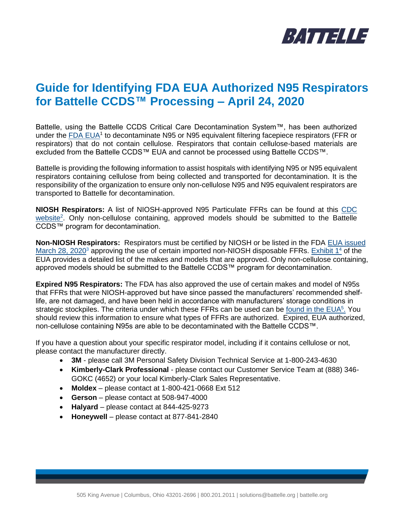

# **Guide for Identifying FDA EUA Authorized N95 Respirators for Battelle CCDS™ Processing – April 24, 2020**

Battelle, using the Battelle CCDS Critical Care Decontamination System™, has been authorized under the **FDA EUA<sup>1</sup>** to decontaminate N95 or N95 equivalent filtering facepiece respirators (FFR or respirators) that do not contain cellulose. Respirators that contain cellulose-based materials are excluded from the Battelle CCDS™ EUA and cannot be processed using Battelle CCDS™.

Battelle is providing the following information to assist hospitals with identifying N95 or N95 equivalent respirators containing cellulose from being collected and transported for decontamination. It is the responsibility of the organization to ensure only non-cellulose N95 and N95 equivalent respirators are transported to Battelle for decontamination.

**NIOSH Respirators:** A list of NIOSH-approved N95 Particulate FFRs can be found at this [CDC](https://www.cdc.gov/niosh/npptl/topics/respirators/disp_part/N95list1-a.html)  [website](https://www.cdc.gov/niosh/npptl/topics/respirators/disp_part/N95list1-a.html)<sup>2</sup>. Only non-cellulose containing, approved models should be submitted to the Battelle CCDS™ program for decontamination.

**Non-NIOSH Respirators:** Respirators must be certified by NIOSH or be listed in the FDA [EUA issued](https://www.fda.gov/media/136403/download)  [March 28, 2020](https://www.fda.gov/media/136403/download)<sup>3</sup> approving the use of certain imported non-NIOSH disposable FFRs. [Exhibit 1](https://www.fda.gov/media/136731/download)<sup>4</sup> of the EUA provides a detailed list of the makes and models that are approved. Only non-cellulose containing, approved models should be submitted to the Battelle CCDS™ program for decontamination.

**Expired N95 Respirators:** The FDA has also approved the use of certain makes and model of N95s that FFRs that were NIOSH-approved but have since passed the manufacturers' recommended shelflife, are not damaged, and have been held in accordance with manufacturers' storage conditions in strategic stockpiles. The criteria under which these FFRs can be used can be [found in the EUA](https://www.fda.gov/media/135763/download)<sup>5</sup>. You should review this information to ensure what types of FFRs are authorized. Expired, EUA authorized, non-cellulose containing N95s are able to be decontaminated with the Battelle CCDS™.

If you have a question about your specific respirator model, including if it contains cellulose or not, please contact the manufacturer directly.

- **3M** please call 3M Personal Safety Division Technical Service at 1-800-243-4630
- **Kimberly-Clark Professional** please contact our Customer Service Team at (888) 346- GOKC (4652) or your local Kimberly-Clark Sales Representative.
- **Moldex**  please contact at 1-800-421-0668 Ext 512
- **Gerson** please contact at 508-947-4000
- **Halyard** please contact at 844-425-9273
- **Honeywell** please contact at 877-841-2840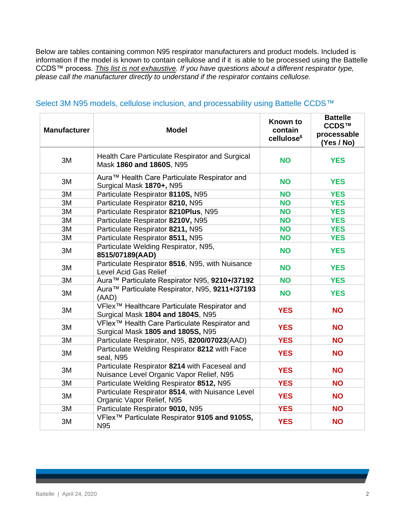Below are tables containing common N95 respirator manufacturers and product models. Included is information if the model is known to contain cellulose and if it is able to be processed using the Battelle CCDS™ process. *This list is not exhaustive. If you have questions about a different respirator type, please call the manufacturer directly to understand if the respirator contains cellulose.*

| <b>Manufacturer</b> | <b>Model</b>                                                                                   | Known to<br>contain<br>cellulose <sup>6</sup> | <b>Battelle</b><br>CCDS™<br>processable<br>(Yes / No) |
|---------------------|------------------------------------------------------------------------------------------------|-----------------------------------------------|-------------------------------------------------------|
| 3M                  | Health Care Particulate Respirator and Surgical<br>Mask 1860 and 1860S, N95                    | <b>NO</b>                                     | <b>YES</b>                                            |
| 3M                  | Aura™ Health Care Particulate Respirator and<br>Surgical Mask 1870+, N95                       | <b>NO</b>                                     | <b>YES</b>                                            |
| 3M                  | Particulate Respirator 8110S, N95                                                              | <b>NO</b>                                     | <b>YES</b>                                            |
| 3M                  | Particulate Respirator 8210, N95                                                               | <b>NO</b>                                     | <b>YES</b>                                            |
| 3M                  | Particulate Respirator 8210Plus, N95                                                           | <b>NO</b>                                     | <b>YES</b>                                            |
| 3M                  | Particulate Respirator 8210V, N95                                                              | <b>NO</b>                                     | <b>YES</b>                                            |
| 3M                  | Particulate Respirator 8211, N95                                                               | <b>NO</b>                                     | <b>YES</b>                                            |
| 3M                  | Particulate Respirator 8511, N95                                                               | <b>NO</b>                                     | <b>YES</b>                                            |
| 3M                  | Particulate Welding Respirator, N95,<br>8515/07189(AAD)                                        | <b>NO</b>                                     | <b>YES</b>                                            |
| 3M                  | Particulate Respirator 8516, N95, with Nuisance<br>Level Acid Gas Relief                       | <b>NO</b>                                     | <b>YES</b>                                            |
| 3M                  | Aura™ Particulate Respirator N95, 9210+/37192                                                  | <b>NO</b>                                     | <b>YES</b>                                            |
| 3M                  | Aura™ Particulate Respirator, N95, 9211+/37193<br>(AAD)                                        | <b>NO</b>                                     | <b>YES</b>                                            |
| 3M                  | VFlex <sup>™</sup> Healthcare Particulate Respirator and<br>Surgical Mask 1804 and 1804S, N95  | <b>YES</b>                                    | <b>NO</b>                                             |
| 3M                  | VFlex <sup>™</sup> Health Care Particulate Respirator and<br>Surgical Mask 1805 and 1805S, N95 | <b>YES</b>                                    | <b>NO</b>                                             |
| 3M                  | Particulate Respirator, N95, 8200/07023(AAD)                                                   | <b>YES</b>                                    | <b>NO</b>                                             |
| 3M                  | Particulate Welding Respirator 8212 with Face<br>seal, N95                                     | <b>YES</b>                                    | <b>NO</b>                                             |
| 3M                  | Particulate Respirator 8214 with Faceseal and<br>Nuisance Level Organic Vapor Relief, N95      | <b>YES</b>                                    | <b>NO</b>                                             |
| 3M                  | Particulate Welding Respirator 8512, N95                                                       | <b>YES</b>                                    | <b>NO</b>                                             |
| 3M                  | Particulate Respirator 8514, with Nuisance Level<br>Organic Vapor Relief, N95                  | <b>YES</b>                                    | <b>NO</b>                                             |
| 3M                  | Particulate Respirator 9010, N95                                                               | <b>YES</b>                                    | <b>NO</b>                                             |
| 3M                  | VFlex <sup>™</sup> Particulate Respirator 9105 and 9105S,<br>N95                               | <b>YES</b>                                    | <b>NO</b>                                             |

#### Select 3M N95 models, cellulose inclusion, and processability using Battelle CCDS™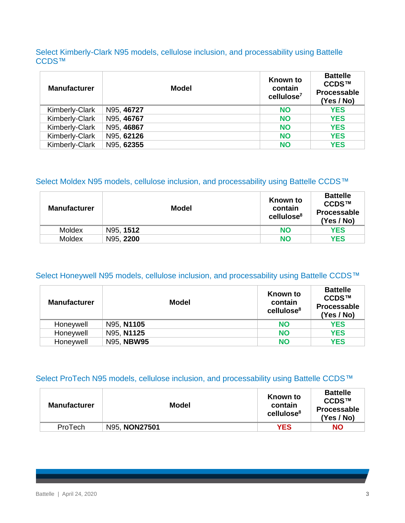Select Kimberly-Clark N95 models, cellulose inclusion, and processability using Battelle CCDS™

| <b>Manufacturer</b> | <b>Model</b> | Known to<br>contain<br>cellulose <sup>7</sup> | <b>Battelle</b><br>CCDS™<br>Processable<br>(Yes / No) |
|---------------------|--------------|-----------------------------------------------|-------------------------------------------------------|
| Kimberly-Clark      | N95, 46727   | <b>NO</b>                                     | <b>YES</b>                                            |
| Kimberly-Clark      | N95, 46767   | <b>NO</b>                                     | <b>YES</b>                                            |
| Kimberly-Clark      | N95, 46867   | <b>NO</b>                                     | <b>YES</b>                                            |
| Kimberly-Clark      | N95, 62126   | <b>NO</b>                                     | <b>YES</b>                                            |
| Kimberly-Clark      | N95, 62355   | <b>NO</b>                                     | <b>YES</b>                                            |

### Select Moldex N95 models, cellulose inclusion, and processability using Battelle CCDS™

| <b>Manufacturer</b> | Model     | Known to<br>contain<br>cellulose <sup>8</sup> | <b>Battelle</b><br>CCDS™<br><b>Processable</b><br>(Yes / No) |
|---------------------|-----------|-----------------------------------------------|--------------------------------------------------------------|
| Moldex              | N95, 1512 | <b>NO</b>                                     | <b>YES</b>                                                   |
| Moldex              | N95, 2200 | <b>NO</b>                                     | <b>YES</b>                                                   |

# Select Honeywell N95 models, cellulose inclusion, and processability using Battelle CCDS™

| <b>Manufacturer</b> | Model      | Known to<br>contain<br>cellulose <sup>8</sup> | <b>Battelle</b><br>CCDS™<br>Processable<br>(Yes / No) |
|---------------------|------------|-----------------------------------------------|-------------------------------------------------------|
| Honeywell           | N95, N1105 | <b>NO</b>                                     | <b>YES</b>                                            |
| Honeywell           | N95, N1125 | <b>NO</b>                                     | <b>YES</b>                                            |
| Honeywell           | N95, NBW95 | <b>NO</b>                                     | <b>YES</b>                                            |

# Select ProTech N95 models, cellulose inclusion, and processability using Battelle CCDS™

| <b>Manufacturer</b> | Model         | Known to<br>contain<br>cellulose <sup>8</sup> | <b>Battelle</b><br>CCDS™<br>Processable<br>(Yes / No) |
|---------------------|---------------|-----------------------------------------------|-------------------------------------------------------|
| ProTech             | N95, NON27501 | <b>YES</b>                                    | <b>NO</b>                                             |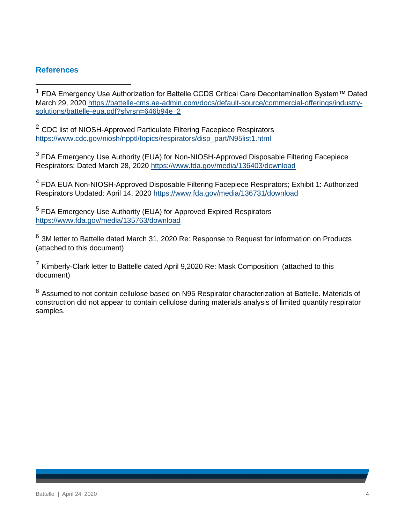## **References**

<sup>1</sup> FDA Emergency Use Authorization for Battelle CCDS Critical Care Decontamination System™ Dated March 29, 2020 [https://battelle-cms.ae-admin.com/docs/default-source/commercial-offerings/industry](https://battelle-cms.ae-admin.com/docs/default-source/commercial-offerings/industry-solutions/battelle-eua.pdf?sfvrsn=646b94e_2)[solutions/battelle-eua.pdf?sfvrsn=646b94e\\_2](https://battelle-cms.ae-admin.com/docs/default-source/commercial-offerings/industry-solutions/battelle-eua.pdf?sfvrsn=646b94e_2)

<sup>2</sup> CDC list of NIOSH-Approved Particulate Filtering Facepiece Respirators [https://www.cdc.gov/niosh/npptl/topics/respirators/disp\\_part/N95list1.html](https://www.cdc.gov/niosh/npptl/topics/respirators/disp_part/N95list1.html)

<sup>3</sup> FDA Emergency Use Authority (EUA) for Non-NIOSH-Approved Disposable Filtering Facepiece Respirators; Dated March 28, 2020<https://www.fda.gov/media/136403/download>

<sup>4</sup> FDA EUA Non-NIOSH-Approved Disposable Filtering Facepiece Respirators; Exhibit 1: Authorized Respirators Updated: April 14, 2020<https://www.fda.gov/media/136731/download>

<sup>5</sup> FDA Emergency Use Authority (EUA) for Approved Expired Respirators <https://www.fda.gov/media/135763/download>

 $^6$  3M letter to Battelle dated March 31, 2020 Re: Response to Request for information on Products (attached to this document)

 $7$  Kimberly-Clark letter to Battelle dated April 9.2020 Re: Mask Composition (attached to this document)

<sup>8</sup> Assumed to not contain cellulose based on N95 Respirator characterization at Battelle. Materials of construction did not appear to contain cellulose during materials analysis of limited quantity respirator samples.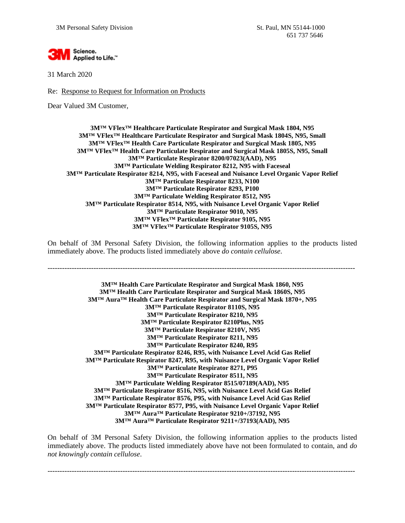

31 March 2020

Re: Response to Request for Information on Products

Dear Valued 3M Customer,

**3M™ VFlex™ Healthcare Particulate Respirator and Surgical Mask 1804, N95 3M™ VFlex™ Healthcare Particulate Respirator and Surgical Mask 1804S, N95, Small 3M™ VFlex™ Health Care Particulate Respirator and Surgical Mask 1805, N95 3M™ VFlex™ Health Care Particulate Respirator and Surgical Mask 1805S, N95, Small 3M™ Particulate Respirator 8200/07023(AAD), N95 3M™ Particulate Welding Respirator 8212, N95 with Faceseal 3M™ Particulate Respirator 8214, N95, with Faceseal and Nuisance Level Organic Vapor Relief 3M™ Particulate Respirator 8233, N100 3M™ Particulate Respirator 8293, P100 3M™ Particulate Welding Respirator 8512, N95 3M™ Particulate Respirator 8514, N95, with Nuisance Level Organic Vapor Relief 3M™ Particulate Respirator 9010, N95 3M™ VFlex™ Particulate Respirator 9105, N95 3M™ VFlex™ Particulate Respirator 9105S, N95** 

On behalf of 3M Personal Safety Division, the following information applies to the products listed immediately above. The products listed immediately above *do contain cellulose*.

-------------------------------------------------------------------------------------------------------------------------------

**3M™ Health Care Particulate Respirator and Surgical Mask 1860, N95 3M™ Health Care Particulate Respirator and Surgical Mask 1860S, N95 3M™ Aura™ Health Care Particulate Respirator and Surgical Mask 1870+, N95 3M™ Particulate Respirator 8110S, N95 3M™ Particulate Respirator 8210, N95 3M™ Particulate Respirator 8210Plus, N95 3M™ Particulate Respirator 8210V, N95 3M™ Particulate Respirator 8211, N95 3M™ Particulate Respirator 8240, R95 3M™ Particulate Respirator 8246, R95, with Nuisance Level Acid Gas Relief 3M™ Particulate Respirator 8247, R95, with Nuisance Level Organic Vapor Relief 3M™ Particulate Respirator 8271, P95 3M™ Particulate Respirator 8511, N95 3M™ Particulate Welding Respirator 8515/07189(AAD), N95 3M™ Particulate Respirator 8516, N95, with Nuisance Level Acid Gas Relief 3M™ Particulate Respirator 8576, P95, with Nuisance Level Acid Gas Relief 3M™ Particulate Respirator 8577, P95, with Nuisance Level Organic Vapor Relief 3M™ Aura™ Particulate Respirator 9210+/37192, N95 3M™ Aura™ Particulate Respirator 9211+/37193(AAD), N95** 

On behalf of 3M Personal Safety Division, the following information applies to the products listed immediately above. The products listed immediately above have not been formulated to contain, and *do not knowingly contain cellulose*.

-------------------------------------------------------------------------------------------------------------------------------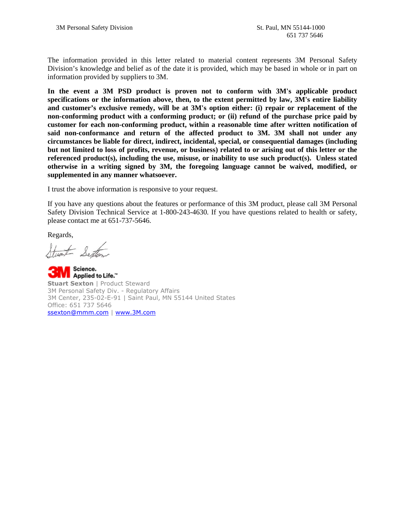The information provided in this letter related to material content represents 3M Personal Safety Division's knowledge and belief as of the date it is provided, which may be based in whole or in part on information provided by suppliers to 3M.

**In the event a 3M PSD product is proven not to conform with 3M's applicable product specifications or the information above, then, to the extent permitted by law, 3M's entire liability and customer's exclusive remedy, will be at 3M's option either: (i) repair or replacement of the non-conforming product with a conforming product; or (ii) refund of the purchase price paid by customer for each non-conforming product, within a reasonable time after written notification of said non-conformance and return of the affected product to 3M. 3M shall not under any circumstances be liable for direct, indirect, incidental, special, or consequential damages (including but not limited to loss of profits, revenue, or business) related to or arising out of this letter or the referenced product(s), including the use, misuse, or inability to use such product(s). Unless stated otherwise in a writing signed by 3M, the foregoing language cannot be waived, modified, or supplemented in any manner whatsoever.** 

I trust the above information is responsive to your request.

If you have any questions about the features or performance of this 3M product, please call 3M Personal Safety Division Technical Service at 1-800-243-4630. If you have questions related to health or safety, please contact me at 651-737-5646.

Regards,

twart Sexton

Science.<br>Explied to Life. **Stuart Sexton** | Product Steward 3M Personal Safety Div. - Regulatory Affairs 3M Center, 235-02-E-91 | Saint Paul, MN 55144 United States Office: 651 737 5646 ssexton@mmm.com | www.3M.com